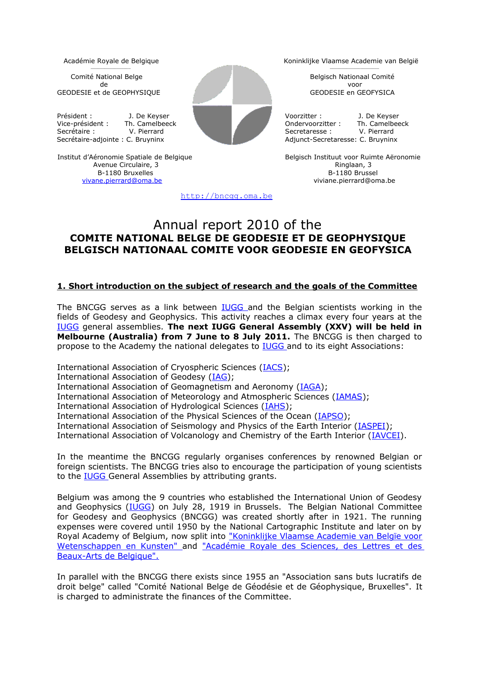Comité National Belge Belgisch Nationaal Comité de voor GEODESIE et de GEOPHYSIQUE GEODESIE en GEOFYSICA

 $\mathcal{L}_\text{max}$  and  $\mathcal{L}_\text{max}$  and  $\mathcal{L}_\text{max}$  and  $\mathcal{L}_\text{max}$ 

Président : J. De Keyser **De Landes and Schwarter Voorzitter : J. De Keyser** Secrétaire : V. Pierrard Secretaire : V. Pierrard Secretaire : V. Pierrard Secretaire : C. Bruvninx Adjunct-Secretaire : C. Bruvninx Adjunct-Secretaire : C. Bruvninx Adjunct-Secretaire : C. Bruvninx Adjunct-Secretaire : C.



Institut d'Aéronomie Spatiale de Belgique **Belgisch Instituut voor Ruimte Aëronomie** Avenue Circulaire, 3 **Avenue Circulaire, 3** Avenue Circulaire, 3 **Ringlaan, 3** Ringlaan, 3 **R**<br>B-1180 Bruxelles **Ringlaan**, 3 **R**  $B-1180$  Bruxelles

[http://bncgg.oma.be](http://bncgg.oma.be/)

Académie Royale de Belgique Koninklijke Vlaamse Academie van België

 $\mathcal{L}_\text{max}$ 

Vice-président : Th. Camelbeeck Christian Condervoorzitter : Th. Camelbeeck Christian Christian Christian Christian Christian Christian Christian Christian Christian Christian Christian Christian Christian Christian Christ Adjunct-Secretaresse: C. Bruyninx

[vivane.pierrard@oma.be](mailto:vivane.pierrard@oma.be) viviane.pierrard@oma.be

# Annual report 2010 of the **COMITE NATIONAL BELGE DE GEODESIE ET DE GEOPHYSIQUE BELGISCH NATIONAAL COMITE VOOR GEODESIE EN GEOFYSICA**

## **1. Short introduction on the subject of research and the goals of the Committee**

The BNCGG serves as a link between [IUGG a](http://www.iugg.org/)nd the Belgian scientists working in the fields of Geodesy and Geophysics. This activity reaches a climax every four years at the [IUGG](http://www.iugg.org/) general assemblies. **The next IUGG General Assembly (XXV) will be held in Melbourne (Australia) from 7 June to 8 July 2011.** The BNCGG is then charged to propose to the Academy the national delegates to [IUGG a](http://www.iugg.org/)nd to its eight Associations:

International Association of Cryospheric Sciences [\(IACS\)](http://www.cryosphericsciences.org/); International Association of Geodesy [\(IAG\)](http://www.iag-aig.org/); International Association of Geomagnetism and Aeronomy [\(IAGA\)](http://www.iugg.org/IAGA/); International Association of Meteorology and Atmospheric Sciences [\(IAMAS\)](http://www.iamas.org/); International Association of Hydrological Sciences [\(IAHS\)](http://www.cig.ensmp.fr/~iahs/); International Association of the Physical Sciences of the Ocean [\(IAPSO\)](http://www.iugg.org/iapso/); International Association of Seismology and Physics of the Earth Interior (*IASPEI*); International Association of Volcanology and Chemistry of the Earth Interior [\(IAVCEI\)](http://www.iugg.org/iavcei/).

In the meantime the BNCGG regularly organises conferences by renowned Belgian or foreign scientists. The BNCGG tries also to encourage the participation of young scientists to the **IUGG** General Assemblies by attributing grants.

Belgium was among the 9 countries who established the International Union of Geodesy and Geophysics [\(IUGG\)](http://www.iugg.org/) on July 28, 1919 in Brussels. The Belgian National Committee for Geodesy and Geophysics (BNCGG) was created shortly after in 1921. The running expenses were covered until 1950 by the National Cartographic Institute and later on by Royal Academy of Belgium, now split into ["Koninklijke Vlaamse Academie van Belgïe voor](http://www.kvab.be/) [Wetenschappen en Kunsten" a](http://www.kvab.be/)nd ["Académie Royale des Sciences, des Lettres et des](http://www.cfwb.be/arb/home.htm) [Beaux-Arts de Belgique".](http://www.cfwb.be/arb/home.htm)

In parallel with the BNCGG there exists since 1955 an "Association sans buts lucratifs de droit belge" called "Comité National Belge de Géodésie et de Géophysique, Bruxelles". It is charged to administrate the finances of the Committee.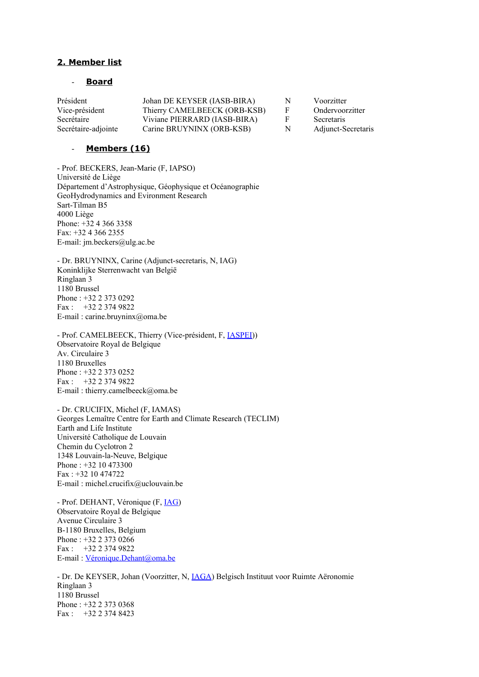### **2. Member list**

#### - **B oard**

| Président           | Johan DE KEYSER (IASB-BIRA)  | N | Voorzitter         |
|---------------------|------------------------------|---|--------------------|
| Vice-président      | Thierry CAMELBEECK (ORB-KSB) | F | Ondervoorzitter    |
| Secrétaire          | Viviane PIERRARD (IASB-BIRA) |   | Secretaris         |
| Secrétaire-adjointe | Carine BRUYNINX (ORB-KSB)    | N | Adjunct-Secretaris |

#### - **M embers (16)**

- Prof. BECKERS, Jean-Marie (F, IAPSO) Université de Liège Département d'Astrophysique, Géophysique et Océanographie GeoHydrodynamics and Evironment Research Sart-Tilman B5 4000 Liège Phone: +32 4 366 3358 Fax: +32 4 366 2355 E-mail: jm.beckers@ulg.ac.be

- Dr. BRUYNINX, Carine (Adjunct-secretaris, N, IAG) Koninklijke Sterrenwacht van België Ringlaan 3 1180 Brussel Phone : +32 2 373 0292 Fax : +32 2 374 9822 E-mail : carine.bruyninx@oma.be

- Prof. CAMELBEECK, Thierry (Vice-président, F, [IASPEI\)](http://www.iaspei.org/)) Observatoire Royal de Belgique Av. Circulaire 3 1180 Bruxelles Phone : +32 2 373 0252 Fax :  $+32$  2 374 9822 E-mail : thierry.camelbeeck@oma.be

- Dr. CRUCIFIX, Michel (F, IAMAS) Georges Lemaître Centre for Earth and Climate Research (TECLIM) Earth and Life Institute Université Catholique de Louvain Chemin du Cyclotron 2 1348 Louvain-la-Neuve, Belgique Phone : +32 10 473300  $Fax + 32 10 474722$ E-mail : michel.crucifix@uclouvain.be

- Prof. DEHANT, Véronique (F, **IAG**) Observatoire Royal de Belgique Avenue Circulaire 3 B-1180 Bruxelles, Belgium Phone : +32 2 373 0266 Fax : +32 2 374 9822 E-mail : [Véronique.Dehant@oma.be](mailto:V%C3%A9ronique.Dehant@oma.be)

- Dr. De KEYSER, Johan (Voorzitter, N, [IAGA\)](http://www.iugg.org/IAGA) Belgisch Instituut voor Ruimte Aëronomie Ringlaan 3 1180 Brussel Phone : +32 2 373 0368 Fax : +32 2 374 8423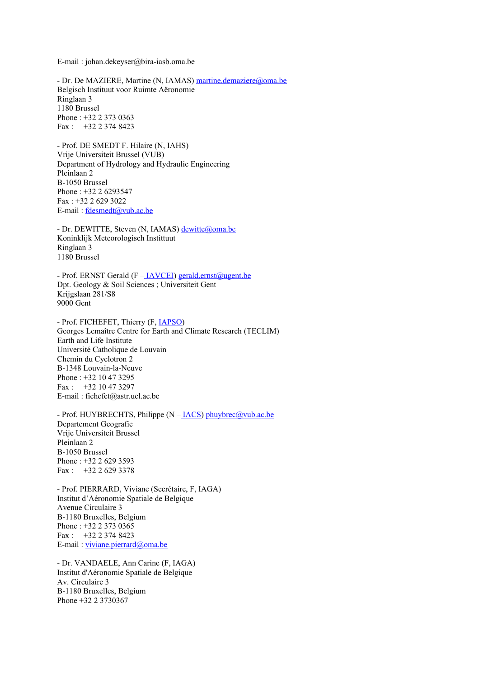E-mail : johan.dekeyser@bira-iasb.oma.be

- Dr. De MAZIERE, Martine (N, IAMAS) [martine.demaziere@oma.be](mailto:martine.demaziere@oma.be) Belgisch Instituut voor Ruimte Aëronomie Ringlaan 3 1180 Brussel Phone : +32 2 373 0363 Fax : +32 2 374 8423

- Prof. DE SMEDT F. Hilaire (N, IAHS) Vrije Universiteit Brussel (VUB) Department of Hydrology and Hydraulic Engineering Pleinlaan 2 B-1050 Brussel Phone : +32 2 6293547 Fax : +32 2 629 3022 E-mail : [fdesmedt@vub.ac.be](mailto:fdesmedt@vub.ac.be)

- Dr. DEWITTE, Steven (N, IAMAS) [dewitte@oma.be](mailto:dewitte@oma.be) Koninklijk Meteorologisch Instittuut Ringlaan 3 1180 Brussel

- Prof. ERNST Gerald (F [– IAVCEI\)](http://www.iaspei.org/) [gerald.ernst@ugent.be](mailto:gerald.ernst@ugent.be) Dpt. Geology & Soil Sciences ; Universiteit Gent Krijgslaan 281/S8 9000 Gent

- Prof. FICHEFET, Thierry (F, [IAPSO\)](http://www.iugg.org/iapso) Georges Lemaître Centre for Earth and Climate Research (TECLIM) Earth and Life Institute Université Catholique de Louvain Chemin du Cyclotron 2 B-1348 Louvain-la-Neuve Phone : +32 10 47 3295 Fax : +32 10 47 3297 E-mail : fichefet@astr.ucl.ac.be

- Prof. HUYBRECHTS, Philippe (N – **IACS**) [phuybrec@vub.ac.be](mailto:phuybrec@vub.ac.be) Departement Geografie Vrije Universiteit Brussel Pleinlaan 2 B-1050 Brussel Phone : +32 2 629 3593 Fax : +32 2 629 3378

- Prof. PIERRARD, Viviane (Secrétaire, F, IAGA) Institut d'Aéronomie Spatiale de Belgique Avenue Circulaire 3 B-1180 Bruxelles, Belgium Phone : +32 2 373 0365 Fax : +32 2 374 8423 E-mail : [viviane.pierrard@oma.be](mailto:viviane.pierrard@oma.be)

- Dr. VANDAELE, Ann Carine (F, IAGA) Institut d'Aéronomie Spatiale de Belgique Av. Circulaire 3 B-1180 Bruxelles, Belgium Phone +32 2 3730367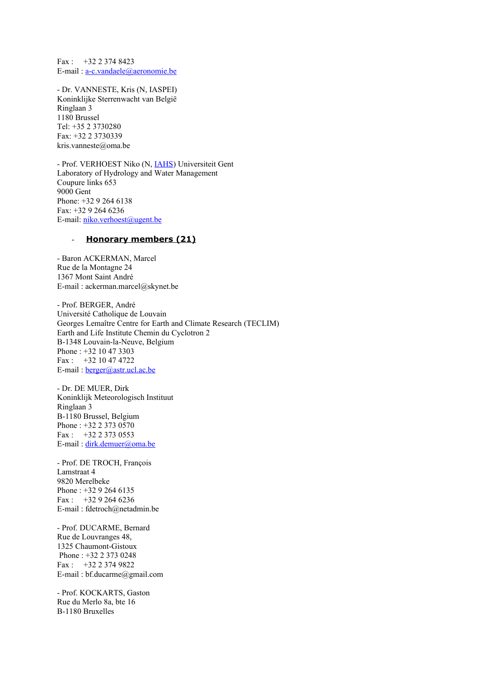Fax : +32 2 374 8423 E-mail : [a-c.vandaele@aeronomie.be](mailto:Carinea-c.vandaele@aeronomie.be)

- Dr. VANNESTE, Kris (N, IASPEI) Koninklijke Sterrenwacht van België Ringlaan 3 1180 Brussel Tel: +35 2 3730280 Fax: +32 2 3730339 kris.vanneste@oma.be

- Prof. VERHOEST Niko (N, [IAHS\)](http://www.cig.ensmp.fr/~iahs/) Universiteit Gent Laboratory of Hydrology and Water Management Coupure links 653 9000 Gent Phone: +32 9 264 6138 Fax: +32 9 264 6236 E-mail: [niko.verhoest@ugent.be](mailto:niko.verhoest@ugent.be)

#### - Honorary members (21)

- Baron ACKERMAN, Marcel Rue de la Montagne 24 1367 Mont Saint André E-mail : ackerman.marcel@skynet.be

- Prof. BERGER, André Université Catholique de Louvain Georges Lemaître Centre for Earth and Climate Research (TECLIM) Earth and Life Institute Chemin du Cyclotron 2 B-1348 Louvain-la-Neuve, Belgium Phone : +32 10 47 3303 Fax : +32 10 47 4722 E-mail : [berger@astr.ucl.ac.be](mailto:berger@astr.ucl.ac.be)

- Dr. DE MUER, Dirk Koninklijk Meteorologisch Instituut Ringlaan 3 B-1180 Brussel, Belgium Phone : +32 2 373 0570 Fax : +32 2 373 0553 E-mail : [dirk.demuer@oma.be](mailto:dirk.demuer@oma.be)

- Prof. DE TROCH, François Lamstraat 4 9820 Merelbeke Phone : +32 9 264 6135 Fax : +32 9 264 6236 E-mail : fdetroch@netadmin.be

- Prof. DUCARME, Bernard Rue de Louvranges 48, 1325 Chaumont-Gistoux Phone : +32 2 373 0248 Fax : +32 2 374 9822 E-mail : bf.ducarme@gmail.com

- Prof. KOCKARTS, Gaston Rue du Merlo 8a, bte 16 B-1180 Bruxelles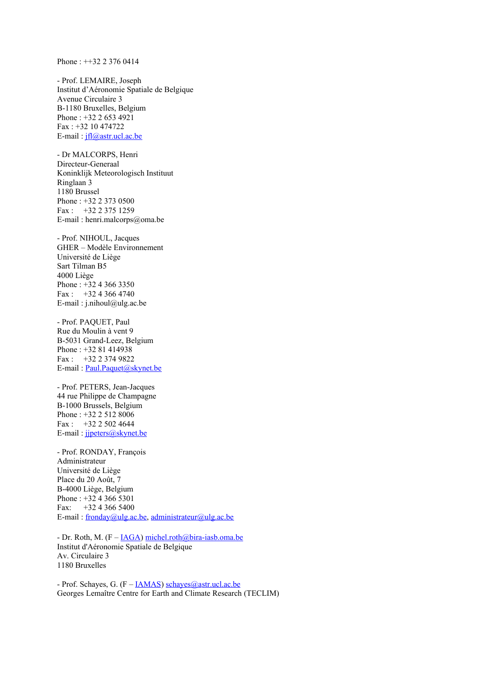Phone : ++32 2 376 0414

- Prof. LEMAIRE, Joseph Institut d'Aéronomie Spatiale de Belgique Avenue Circulaire 3 B-1180 Bruxelles, Belgium Phone : +32 2 653 4921 Fax : +32 10 474722 E-mail : [jfl@astr.ucl.ac.be](mailto:jfl@astr.ucl.ac.be)

- Dr MALCORPS, Henri Directeur-Generaal Koninklijk Meteorologisch Instituut Ringlaan 3 1180 Brussel Phone : +32 2 373 0500  $Fax \cdot +32233751259$ E-mail : henri.malcorps@oma.be

- Prof. NIHOUL, Jacques GHER – Modèle Environnement Université de Liège Sart Tilman B5 4000 Liège Phone : +32 4 366 3350 Fax :  $+3243664740$ E-mail:  $i$ .nihoul@ulg.ac.be

- Prof. PAQUET, Paul Rue du Moulin à vent 9 B-5031 Grand-Leez, Belgium Phone : +32 81 414938 Fax : +32 2 374 9822 E-mail : [Paul.Paquet@skynet.be](mailto:Paul.Paquet@oma.be)

- Prof. PETERS, Jean-Jacques 44 rue Philippe de Champagne B-1000 Brussels, Belgium Phone : +32 2 512 8006 Fax : +32 2 502 4644 E-mail : [jjpeters@skynet.be](mailto:jjpeters@vub.ac.be)

- Prof. RONDAY, François Administrateur Université de Liège Place du 20 Août, 7 B-4000 Liège, Belgium Phone : +32 4 366 5301 Fax:  $+32, 4, 366, 5400$ E-mail : [fronday@ulg.ac.be,](mailto:fronday@ulg.ac.be) [administrateur@ulg.ac.be](mailto:administrateur@ulg.ac.be)

- Dr. Roth, M. (F – [IAGA\)](http://www.iugg.org/IAGA) [michel.roth@bira-iasb.oma.be](mailto:michel.roth@bira-iasb.oma.be) Institut d'Aéronomie Spatiale de Belgique Av. Circulaire 3 1180 Bruxelles

- Prof. Schayes, G.  $(F - IAMAS)$  $(F - IAMAS)$  schayes @astr.ucl.ac.be Georges Lemaître Centre for Earth and Climate Research (TECLIM)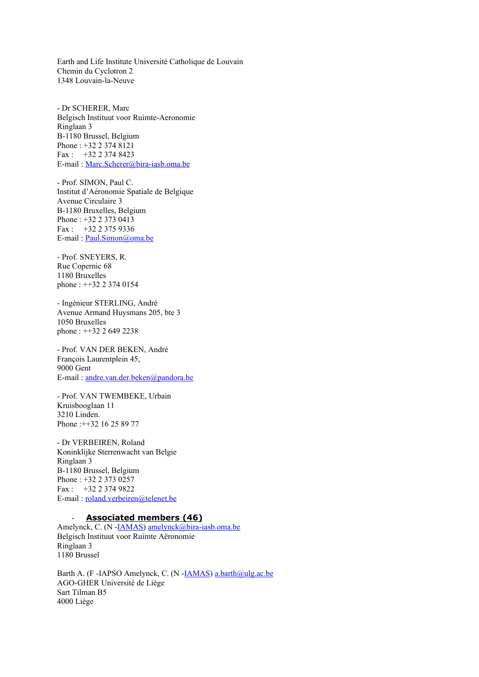Earth and Life Institute Université Catholique de Louvain Chemin du Cyclotron 2 1348 Louvain-la-Neuve

- Dr SCHERER, Marc Belgisch Instituut voor Ruimte-Aeronomie Ringlaan 3 B-1180 Brussel, Belgium Phone : +32 2 374 8121 Fax : +32 2 374 8423 E-mail : [Marc.Scherer@bira-iasb.oma.be](mailto:Marc.Scherer@bira-iasb.oma.be)

- Prof. SIMON, Paul C. Institut d'Aéronomie Spatiale de Belgique Avenue Circulaire 3 B-1180 Bruxelles, Belgium Phone : +32 2 373 0413 Fax : +32 2 375 9336 E-mail: [Paul.Simon@oma.be](mailto:Paul.Simon@oma.be)

- Prof. SNEYERS, R. Rue Copernic 68 1180 Bruxelles phone : ++32 2 374 0154

- Ingénieur STERLING, André Avenue Armand Huysmans 205, bte 3 1050 Bruxelles phone : ++32 2 649 2238

- Prof. VAN DER BEKEN, André François Laurentplein 45, 9000 Gent E-mail : [andre.van.der.beken@pandora.be](mailto:avdbeken@vub.ac.be)

- Prof. VAN TWEMBEKE, Urbain Kruisbooglaan 11 3210 Linden. Phone : + + 32 16 25 89 77

- Dr VERBEIREN, Roland Koninklijke Sterrenwacht van Belgie Ringlaan 3 B-1180 Brussel, Belgium Phone : +32 2 373 0257 Fax : +32 2 374 9822 E-mail : [roland.verbeiren@telenet.be](mailto:roland.verbeiren@telenet.be)

#### Associated members (46)

Amelynck, C. (N -**IAMAS**) [amelynck@bira-iasb.oma.be](mailto:amelynck@bira-iasb.oma.be) Belgisch Instituut voor Ruimte Aëronomie Ringlaan 3 1180 Brussel

Barth A. (F -IAPSO Amelynck, C. (N [-IAMAS\)](http://www.iamas.org/) [a.barth@ulg.ac.be](mailto:amelynck@bira-iasb.oma.be) AGO-GHER Université de Liège Sart Tilman B5 4000 Liège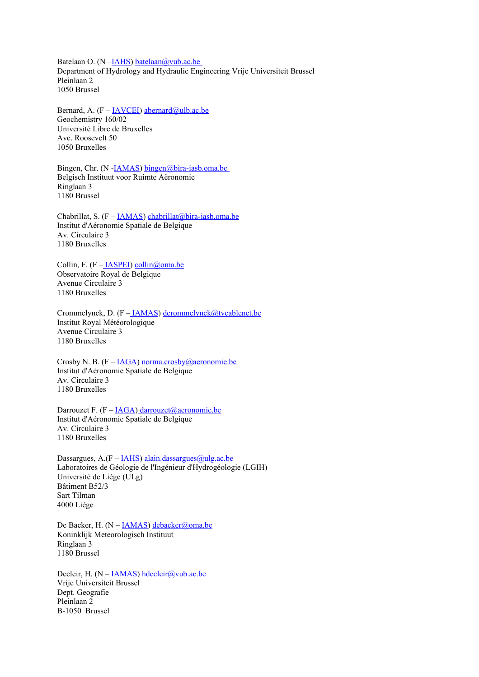Batelaan O. (N -**IAHS**) batelaan@vub.ac.be Department of Hydrology and Hydraulic Engineering Vrije Universiteit Brussel Pleinlaan 2 1050 Brussel

Bernard, A.  $(F - IAVCEI)$  $(F - IAVCEI)$  [abernard@ulb.ac.be](mailto:abernard@ulb.ac.be) Geochemistry 160/02 Université Libre de Bruxelles Ave. Roosevelt 50 1050 Bruxelles

Bingen, Chr. (N [-IAMAS\)](http://www.iamas.org/) [bingen@bira-iasb.oma.be](mailto:bingen@bira-iasb.oma.be) Belgisch Instituut voor Ruimte Aëronomie Ringlaan 3 1180 Brussel

Chabrillat, S.  $(F - IAMAS)$  $(F - IAMAS)$  [chabrillat@bira-iasb.oma.be](mailto:chabrillat@bira-iasb.oma.be) Institut d'Aéronomie Spatiale de Belgique Av. Circulaire 3 1180 Bruxelles

Collin, F. (F – **IASPEI**) [collin@oma.be](mailto:collin@oma.be) Observatoire Royal de Belgique Avenue Circulaire 3 1180 Bruxelles

Crommelynck, D. (F - **IAMAS**) [dcrommelynck@tvcablenet.be](mailto:collin@oma.be) Institut Royal Météorologique Avenue Circulaire 3 1180 Bruxelles

Crosby N. B. ( $F - IAGA$ ) [norma.crosby@aeronomie.be](mailto:norma.crosby@aeronomie.be) Institut d'Aéronomie Spatiale de Belgique Av. Circulaire 3 1180 Bruxelles

Darrouzet F. (F – [IAGA](http://www.iugg.org/IAGA)[\) darrouzet@aeronomie.be](mailto:darrouzet@aeronomie.be) Institut d'Aéronomie Spatiale de Belgique Av. Circulaire 3 1180 Bruxelles

Dassargues,  $A$ .(F – [IAHS\)](http://www.cig.ensmp.fr/~iahs/) [alain.dassargues@ulg.ac.be](mailto:alain.dassargues@ulg.ac.be) Laboratoires de Géologie de l'Ingénieur d'Hydrogéologie (LGIH) Université de Liège (ULg) Bâtiment B52/3 Sart Tilman 4000 Liège

De Backer, H. (N – [IAMAS\)](http://www.iamas.org/) [debacker@oma.be](mailto:debacker@oma.be) Koninklijk Meteorologisch Instituut Ringlaan 3 1180 Brussel

Decleir, H. (N - **IAMAS**) [hdecleir@vub.ac.be](mailto:hdecleir@vub.ac.be) Vrije Universiteit Brussel Dept. Geografie Pleinlaan 2 B-1050 Brussel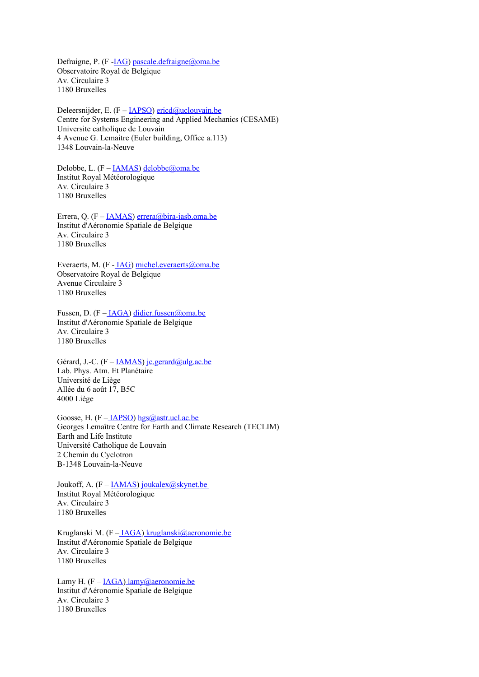Defraigne, P. (F -**IAG)** [pascale.defraigne@oma.be](mailto:pascale.defraigne@oma.be) Observatoire Royal de Belgique Av. Circulaire 3 1180 Bruxelles

Deleersnijder, E. (F – [IAPSO\)](http://www.iugg.org/iapso/) [ericd@uclouvain.be](mailto:ericd@uclouvain.be) Centre for Systems Engineering and Applied Mechanics (CESAME) Universite catholique de Louvain 4 Avenue G. Lemaitre (Euler building, Office a.113) 1348 Louvain-la-Neuve

Delobbe, L. (F - **IAMAS**) [delobbe@oma.be](mailto:delobbe@oma.be) Institut Royal Météorologique Av. Circulaire 3 1180 Bruxelles

Errera, Q. (F – [IAMAS\)](http://www.iamas.org/) [errera@bira-iasb.oma.be](mailto:errera@bira-iasb.oma.be) Institut d'Aéronomie Spatiale de Belgique Av. Circulaire 3 1180 Bruxelles

Everaerts, M. (F [- IAG\)](http://www.iag-aig.org/) [michel.everaerts@oma.be](mailto:michel.everaerts@oma.be) Observatoire Royal de Belgique Avenue Circulaire 3 1180 Bruxelles

Fussen, D. (F [– IAGA\)](http://www.iugg.org/IAGA) [didier.fussen@oma.be](mailto:didier.fussen@oma.be) Institut d'Aéronomie Spatiale de Belgique Av. Circulaire 3 1180 Bruxelles

Gérard, J.-C. (F – **IAMAS**) [jc.gerard@ulg.ac.be](mailto:jc.gerard@ulg.ac.be) Lab. Phys. Atm. Et Planétaire Université de Liège Allée du 6 août 17, B5C 4000 Liège

Goosse, H. (F –  $IAPSO$ ) [hgs@astr.ucl.ac.be](mailto:hgs@astr.ucl.ac.be) Georges Lemaître Centre for Earth and Climate Research (TECLIM) Earth and Life Institute Université Catholique de Louvain 2 Chemin du Cyclotron B-1348 Louvain-la-Neuve

Joukoff, A.  $(F - IAMAS)$  $(F - IAMAS)$  joukalex  $@$ skynet.be Institut Royal Météorologique Av. Circulaire 3 1180 Bruxelles

Kruglanski M. (F - IAGA[\) kruglanski@aeronomie.be](mailto:kruglanski@aeronomie.be) Institut d'Aéronomie Spatiale de Belgique Av. Circulaire 3 1180 Bruxelles

Lamy H.  $(F - IAGA)$  $(F - IAGA)$  [lamy@aeronomie.be](mail:lamy@aeronomie.be) Institut d'Aéronomie Spatiale de Belgique Av. Circulaire 3 1180 Bruxelles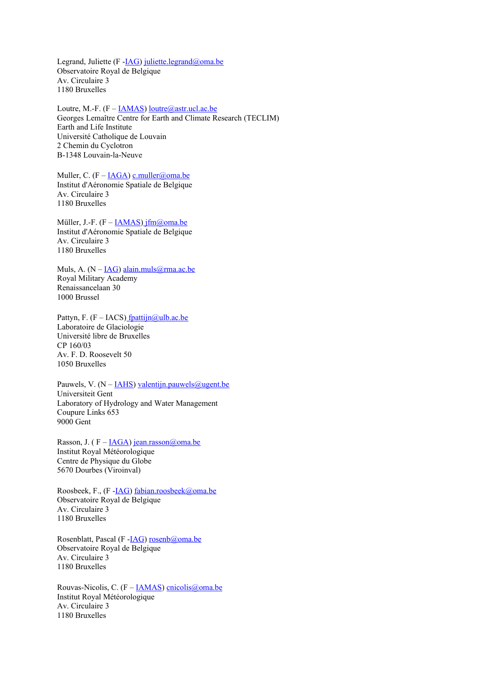Legrand, Juliette (F -**IAG)** [juliette.legrand@oma.be](mailto:juliette.legrand@oma.be) Observatoire Royal de Belgique Av. Circulaire 3 1180 Bruxelles

Loutre, M.-F. (F – **IAMAS**) [loutre@astr.ucl.ac.be](mailto:loutre@astr.ucl.ac.be) Georges Lemaître Centre for Earth and Climate Research (TECLIM) Earth and Life Institute Université Catholique de Louvain 2 Chemin du Cyclotron B-1348 Louvain-la-Neuve

Muller, C.  $(F - IAGA)$  $(F - IAGA)$  [c.muller@oma.be](mailto:c.muller@oma.be) Institut d'Aéronomie Spatiale de Belgique Av. Circulaire 3 1180 Bruxelles

Müller, J.-F.  $(F - IAMAS)$  $(F - IAMAS)$  $(F - IAMAS)$  jfm@oma.be Institut d'Aéronomie Spatiale de Belgique Av. Circulaire 3 1180 Bruxelles

Muls, A.  $(N - IAG)$  $(N - IAG)$  [alain.muls@rma.ac.be](mailto:alain.muls@rma.ac.be) Royal Military Academy Renaissancelaan 30 1000 Brussel

Pattyn, F. (F – IACS[\) fpattijn@ulb.ac.be](mailto:fpattijn@ulb.ac.be) Laboratoire de Glaciologie Université libre de Bruxelles CP 160/03 Av. F. D. Roosevelt 50 1050 Bruxelles

Pauwels, V.  $(N - IAHS)$  $(N - IAHS)$  [valentijn.pauwels@ugent.be](mailto:valentijn.pauwels@ugent.be) Universiteit Gent Laboratory of Hydrology and Water Management Coupure Links 653 9000 Gent

Rasson, J. ( $F - IAGA$ ) [jean.rasson@oma.be](mailto:jean.rasson@oma.be) Institut Royal Météorologique Centre de Physique du Globe 5670 Dourbes (Viroinval)

Roosbeek, F., (F [-IAG\)](http://www.iag-aig.org/) [fabian.roosbeek@oma.be](mailto:fabian.roosbeek@oma.be) Observatoire Royal de Belgique Av. Circulaire 3 1180 Bruxelles

Rosenblatt, Pascal (F - IAG) [rosenb@oma.be](mailto:rosenb@oma.be) Observatoire Royal de Belgique Av. Circulaire 3 1180 Bruxelles

Rouvas-Nicolis, C.  $(F - IAMAS)$  $(F - IAMAS)$  cnicolis $@$ oma.be Institut Royal Météorologique Av. Circulaire 3 1180 Bruxelles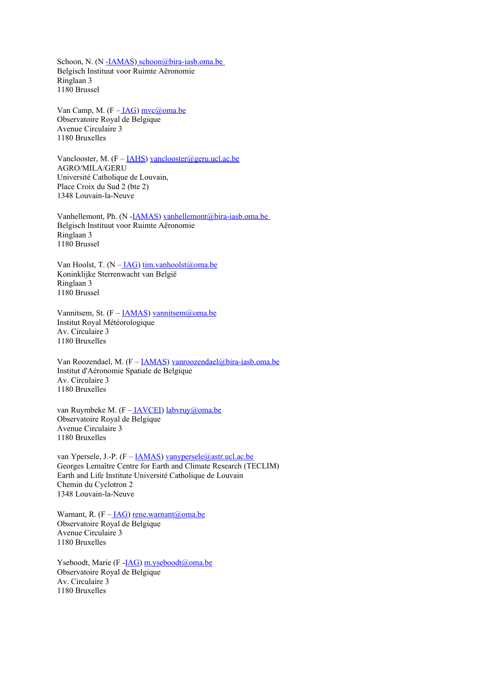Schoon, N. (N -**IAMAS**) schoon@bira-iasb.oma.be Belgisch Instituut voor Ruimte Aëronomie Ringlaan 3 1180 Brussel

Van Camp, M.  $(F - IAG)$  mvc $@$ oma.be Observatoire Royal de Belgique Avenue Circulaire 3 1180 Bruxelles

Vanclooster, M.  $(F - \underline{IAHS})$  [vanclooster@geru.ucl.ac.be](mailto:vanclooster@geru.ucl.ac.be) AGRO/MILA/GERU Université Catholique de Louvain, Place Croix du Sud 2 (bte 2) 1348 Louvain-la-Neuve

Vanhellemont, Ph. (N [-IAMAS\)](http://www.iamas.org/) [vanhellemont@bira-iasb.oma.be](mailto:vanhellemont@bira-iasb.oma.be)  Belgisch Instituut voor Ruimte Aëronomie Ringlaan 3 1180 Brussel

Van Hoolst, T. (N - IAG) [tim.vanhoolst@oma.be](mailto:tim.vanhoolst@oma.be) Koninklijke Sterrenwacht van België Ringlaan 3 1180 Brussel

Vannitsem, St.  $(F - IAMAS)$  $(F - IAMAS)$  vannitsem $@$ oma.be Institut Royal Météorologique Av. Circulaire 3 1180 Bruxelles

Van Roozendael, M. (F - **IAMAS**) [vanroozendael@bira-iasb.oma.be](mailto:vanroozendael@bira-iasb.oma.be) Institut d'Aéronomie Spatiale de Belgique Av. Circulaire 3 1180 Bruxelles

van Ruymbeke M. (F [– IAVCEI\)](http://www.iavcei.org/) [labvruy@oma.be](mailto:labvruy@oma.be) Observatoire Royal de Belgique Avenue Circulaire 3 1180 Bruxelles

van Ypersele, J.-P. (F – **IAMAS**) [vanypersele@astr.ucl.ac.be](mailto:vanypersele@astr.ucl.ac.be) Georges Lemaître Centre for Earth and Climate Research (TECLIM) Earth and Life Institute Université Catholique de Louvain Chemin du Cyclotron 2 1348 Louvain-la-Neuve

Warnant, R.  $(F - IAG)$  [rene.warnant@oma.be](mailto:rene.warnant@oma.be) Observatoire Royal de Belgique Avenue Circulaire 3 1180 Bruxelles

Yseboodt, Marie (F -*IAG*) [m.yseboodt@oma.be](mailto:m.yseboodt@oma.be) Observatoire Royal de Belgique Av. Circulaire 3 1180 Bruxelles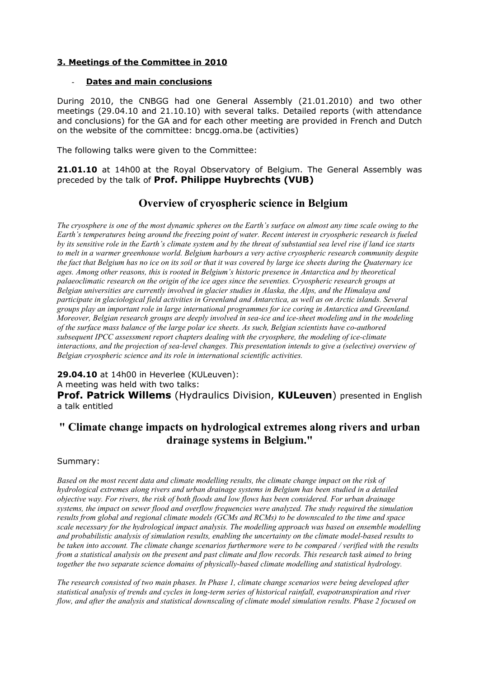## **3. Meetings of the Committee in 2010**

## - **D ates and main conclusions**

During 2010, the CNBGG had one General Assembly (21.01.2010) and two other meetings (29.04.10 and 21.10.10) with several talks. Detailed reports (with attendance and conclusions) for the GA and for each other meeting are provided in French and Dutch on the website of the committee: bncgg.oma.be (activities)

The following talks were given to the Committee:

**21.01.10** at 14h00 at the Royal Observatory of Belgium. The General Assembly was preceded by the talk of **Prof. Philippe Huybrechts (VUB)**

# **Overview of cryospheric science in Belgium**

*The cryosphere is one of the most dynamic spheres on the Earth's surface on almost any time scale owing to the Earth's temperatures being around the freezing point of water. Recent interest in cryospheric research is fueled by its sensitive role in the Earth's climate system and by the threat of substantial sea level rise if land ice starts to melt in a warmer greenhouse world. Belgium harbours a very active cryospheric research community despite the fact that Belgium has no ice on its soil or that it was covered by large ice sheets during the Quaternary ice ages. Among other reasons, this is rooted in Belgium's historic presence in Antarctica and by theoretical palaeoclimatic research on the origin of the ice ages since the seventies. Cryospheric research groups at Belgian universities are currently involved in glacier studies in Alaska, the Alps, and the Himalaya and participate in glaciological field activities in Greenland and Antarctica, as well as on Arctic islands. Several groups play an important role in large international programmes for ice coring in Antarctica and Greenland. Moreover, Belgian research groups are deeply involved in sea-ice and ice-sheet modeling and in the modeling of the surface mass balance of the large polar ice sheets. As such, Belgian scientists have co-authored subsequent IPCC assessment report chapters dealing with the cryosphere, the modeling of ice-climate interactions, and the projection of sea-level changes. This presentation intends to give a (selective) overview of Belgian cryospheric science and its role in international scientific activities.*

**29.04.10** at 14h00 in Heverlee (KULeuven):

A meeting was held with two talks:

**Prof. Patrick Willems** (Hydraulics Division, **KULeuven**) presented in English a talk entitled

# **" Climate change impacts on hydrological extremes along rivers and urban drainage systems in Belgium."**

## Summary:

*Based on the most recent data and climate modelling results, the climate change impact on the risk of hydrological extremes along rivers and urban drainage systems in Belgium has been studied in a detailed objective way. For rivers, the risk of both floods and low flows has been considered. For urban drainage systems, the impact on sewer flood and overflow frequencies were analyzed. The study required the simulation results from global and regional climate models (GCMs and RCMs) to be downscaled to the time and space scale necessary for the hydrological impact analysis. The modelling approach was based on ensemble modelling and probabilistic analysis of simulation results, enabling the uncertainty on the climate model-based results to be taken into account. The climate change scenarios furthermore were to be compared / verified with the results from a statistical analysis on the present and past climate and flow records. This research task aimed to bring together the two separate science domains of physically-based climate modelling and statistical hydrology.* 

*The research consisted of two main phases. In Phase 1, climate change scenarios were being developed after statistical analysis of trends and cycles in long-term series of historical rainfall, evapotranspiration and river flow, and after the analysis and statistical downscaling of climate model simulation results. Phase 2 focused on*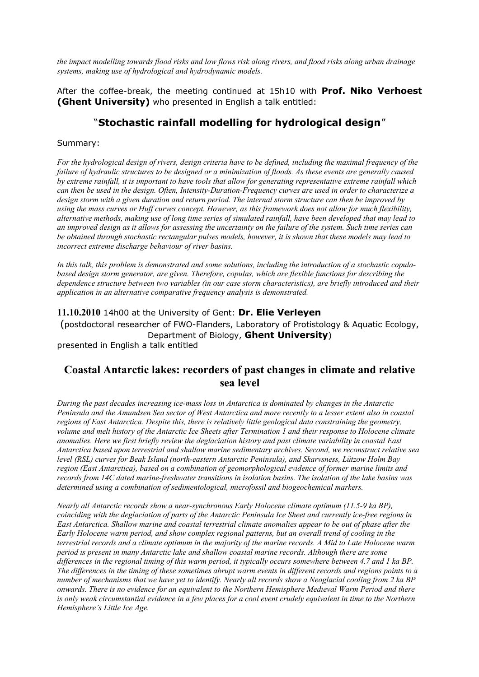*the impact modelling towards flood risks and low flows risk along rivers, and flood risks along urban drainage systems, making use of hydrological and hydrodynamic models.* 

After the coffee-break, the meeting continued at 15h10 with **Prof. Niko Verhoest (Ghent University)** who presented in English a talk entitled:

# "**Stochastic rainfall modelling for hydrological design**"

#### Summary:

*For the hydrological design of rivers, design criteria have to be defined, including the maximal frequency of the failure of hydraulic structures to be designed or a minimization of floods. As these events are generally caused by extreme rainfall, it is important to have tools that allow for generating representative extreme rainfall which can then be used in the design. Often, Intensity-Duration-Frequency curves are used in order to characterize a design storm with a given duration and return period. The internal storm structure can then be improved by using the mass curves or Huff curves concept. However, as this framework does not allow for much flexibility, alternative methods, making use of long time series of simulated rainfall, have been developed that may lead to an improved design as it allows for assessing the uncertainty on the failure of the system. Such time series can be obtained through stochastic rectangular pulses models, however, it is shown that these models may lead to incorrect extreme discharge behaviour of river basins.* 

*In this talk, this problem is demonstrated and some solutions, including the introduction of a stochastic copulabased design storm generator, are given. Therefore, copulas, which are flexible functions for describing the dependence structure between two variables (in our case storm characteristics), are briefly introduced and their application in an alternative comparative frequency analysis is demonstrated.* 

## **11.10.2010** 14h00 at the University of Gent: **Dr. Elie Verleyen**

(postdoctoral researcher of FWO-Flanders, Laboratory of Protistology & Aquatic Ecology, Department of Biology, **Ghent University**) presented in English a talk entitled

# **Coastal Antarctic lakes: recorders of past changes in climate and relative sea level**

*During the past decades increasing ice-mass loss in Antarctica is dominated by changes in the Antarctic Peninsula and the Amundsen Sea sector of West Antarctica and more recently to a lesser extent also in coastal regions of East Antarctica. Despite this, there is relatively little geological data constraining the geometry, volume and melt history of the Antarctic Ice Sheets after Termination 1 and their response to Holocene climate anomalies. Here we first briefly review the deglaciation history and past climate variability in coastal East Antarctica based upon terrestrial and shallow marine sedimentary archives. Second, we reconstruct relative sea level (RSL) curves for Beak Island (north-eastern Antarctic Peninsula), and Skarvsness, Lützow Holm Bay region (East Antarctica), based on a combination of geomorphological evidence of former marine limits and records from 14C dated marine-freshwater transitions in isolation basins. The isolation of the lake basins was determined using a combination of sedimentological, microfossil and biogeochemical markers.* 

*Nearly all Antarctic records show a near-synchronous Early Holocene climate optimum (11.5-9 ka BP), coinciding with the deglaciation of parts of the Antarctic Peninsula Ice Sheet and currently ice-free regions in East Antarctica. Shallow marine and coastal terrestrial climate anomalies appear to be out of phase after the Early Holocene warm period, and show complex regional patterns, but an overall trend of cooling in the terrestrial records and a climate optimum in the majority of the marine records. A Mid to Late Holocene warm period is present in many Antarctic lake and shallow coastal marine records. Although there are some differences in the regional timing of this warm period, it typically occurs somewhere between 4.7 and 1 ka BP. The differences in the timing of these sometimes abrupt warm events in different records and regions points to a number of mechanisms that we have yet to identify. Nearly all records show a Neoglacial cooling from 2 ka BP onwards. There is no evidence for an equivalent to the Northern Hemisphere Medieval Warm Period and there is only weak circumstantial evidence in a few places for a cool event crudely equivalent in time to the Northern Hemisphere's Little Ice Age.*